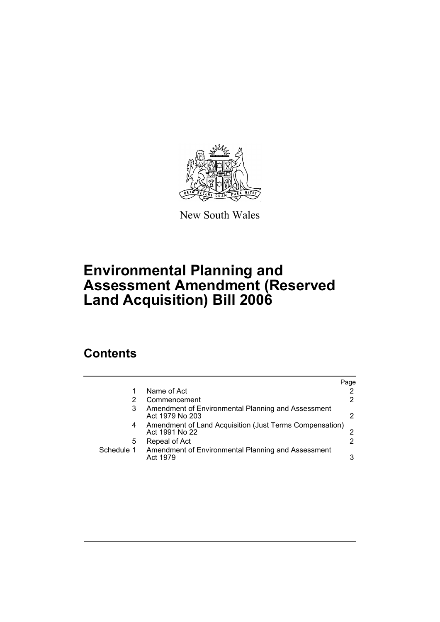

New South Wales

# **Environmental Planning and Assessment Amendment (Reserved Land Acquisition) Bill 2006**

### **Contents**

|            |                                                                           | Page |
|------------|---------------------------------------------------------------------------|------|
|            | Name of Act                                                               |      |
|            | Commencement                                                              | 2    |
| 3          | Amendment of Environmental Planning and Assessment<br>Act 1979 No 203     |      |
| 4          | Amendment of Land Acquisition (Just Terms Compensation)<br>Act 1991 No 22 |      |
| 5          | Repeal of Act                                                             | 2    |
| Schedule 1 | Amendment of Environmental Planning and Assessment<br>Act 1979            | 3    |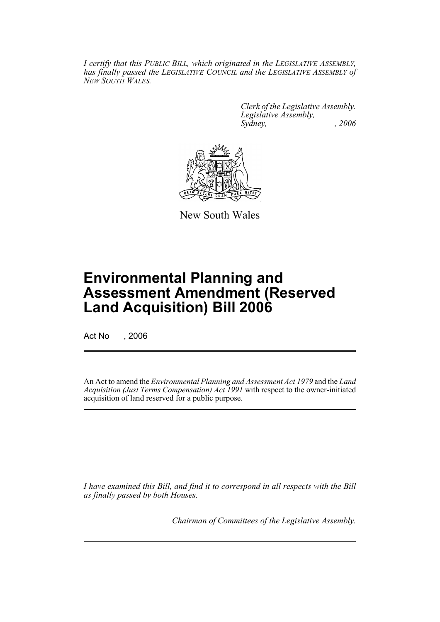*I certify that this PUBLIC BILL, which originated in the LEGISLATIVE ASSEMBLY, has finally passed the LEGISLATIVE COUNCIL and the LEGISLATIVE ASSEMBLY of NEW SOUTH WALES.*

> *Clerk of the Legislative Assembly. Legislative Assembly, Sydney, , 2006*



New South Wales

## **Environmental Planning and Assessment Amendment (Reserved Land Acquisition) Bill 2006**

Act No , 2006

An Act to amend the *Environmental Planning and Assessment Act 1979* and the *Land Acquisition (Just Terms Compensation) Act 1991* with respect to the owner-initiated acquisition of land reserved for a public purpose.

*I have examined this Bill, and find it to correspond in all respects with the Bill as finally passed by both Houses.*

*Chairman of Committees of the Legislative Assembly.*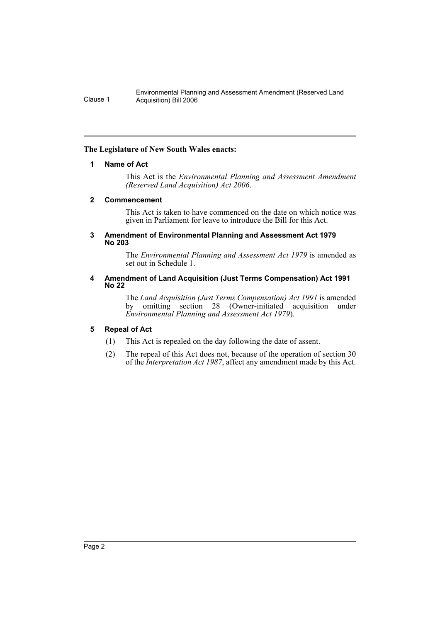Environmental Planning and Assessment Amendment (Reserved Land Clause 1 Acquisition) Bill 2006

#### **The Legislature of New South Wales enacts:**

#### **1 Name of Act**

This Act is the *Environmental Planning and Assessment Amendment (Reserved Land Acquisition) Act 2006*.

#### **2 Commencement**

This Act is taken to have commenced on the date on which notice was given in Parliament for leave to introduce the Bill for this Act.

#### **3 Amendment of Environmental Planning and Assessment Act 1979 No 203**

The *Environmental Planning and Assessment Act 1979* is amended as set out in Schedule 1.

#### **4 Amendment of Land Acquisition (Just Terms Compensation) Act 1991 No 22**

The *Land Acquisition (Just Terms Compensation) Act 1991* is amended by omitting section 28 (Owner-initiated acquisition under *Environmental Planning and Assessment Act 1979*).

#### **5 Repeal of Act**

- (1) This Act is repealed on the day following the date of assent.
- (2) The repeal of this Act does not, because of the operation of section 30 of the *Interpretation Act 1987*, affect any amendment made by this Act.